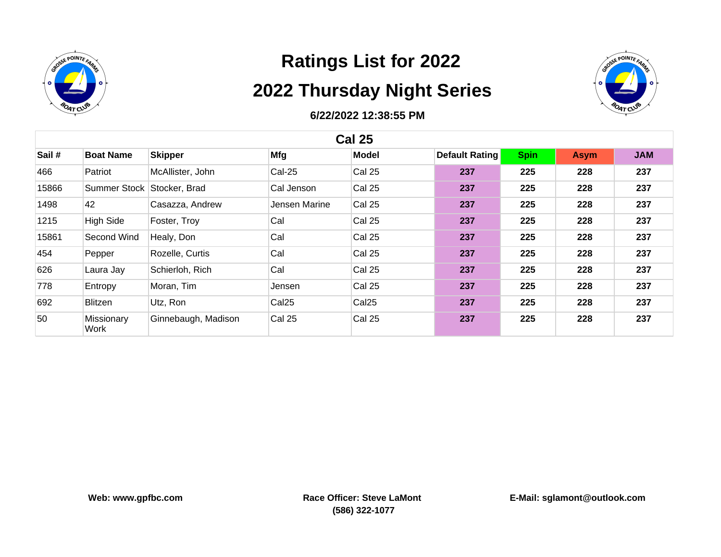



| <b>Cal 25</b> |                    |                     |                   |                   |                       |             |             |            |  |
|---------------|--------------------|---------------------|-------------------|-------------------|-----------------------|-------------|-------------|------------|--|
| Sail #        | <b>Boat Name</b>   | <b>Skipper</b>      | Mfg               | <b>Model</b>      | <b>Default Rating</b> | <b>Spin</b> | <b>Asym</b> | <b>JAM</b> |  |
| 466           | Patriot            | McAllister, John    | <b>Cal-25</b>     | Cal 25            | 237                   | 225         | 228         | 237        |  |
| 15866         | Summer Stock       | Stocker, Brad       | Cal Jenson        | Cal 25            | 237                   | 225         | 228         | 237        |  |
| 1498          | 42                 | Casazza, Andrew     | Jensen Marine     | Cal 25            | 237                   | 225         | 228         | 237        |  |
| 1215          | <b>High Side</b>   | Foster, Troy        | Cal               | Cal 25            | 237                   | 225         | 228         | 237        |  |
| 15861         | Second Wind        | Healy, Don          | Cal               | Cal 25            | 237                   | 225         | 228         | 237        |  |
| 454           | Pepper             | Rozelle, Curtis     | Cal               | Cal 25            | 237                   | 225         | 228         | 237        |  |
| 626           | Laura Jay          | Schierloh, Rich     | Cal               | Cal 25            | 237                   | 225         | 228         | 237        |  |
| 778           | Entropy            | Moran, Tim          | Jensen            | Cal 25            | 237                   | 225         | 228         | 237        |  |
| 692           | Blitzen            | Utz, Ron            | Cal <sub>25</sub> | Cal <sub>25</sub> | 237                   | 225         | 228         | 237        |  |
| 50            | Missionary<br>Work | Ginnebaugh, Madison | Cal 25            | Cal 25            | 237                   | 225         | 228         | 237        |  |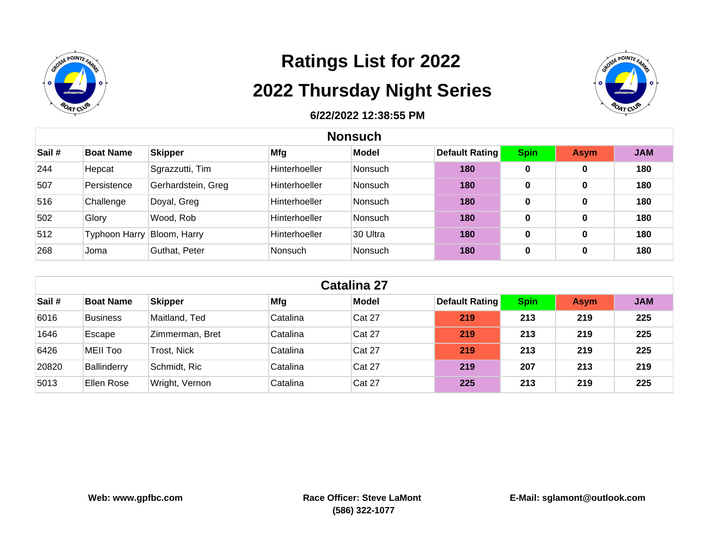



|       | <b>Nonsuch</b>       |                    |                      |                |                       |             |             |            |  |
|-------|----------------------|--------------------|----------------------|----------------|-----------------------|-------------|-------------|------------|--|
| Sail# | <b>Boat Name</b>     | <b>Skipper</b>     | Mfg                  | <b>Model</b>   | <b>Default Rating</b> | <b>Spin</b> | <b>Asym</b> | <b>JAM</b> |  |
| 244   | Hepcat               | Sgrazzutti, Tim    | <b>Hinterhoeller</b> | Nonsuch        | 180                   | 0           | 0           | 180        |  |
| 507   | Persistence          | Gerhardstein, Greg | <b>Hinterhoeller</b> | <b>Nonsuch</b> | 180                   | 0           | 0           | 180        |  |
| 516   | Challenge            | Doyal, Greg        | <b>Hinterhoeller</b> | <b>Nonsuch</b> | 180                   | 0           | 0           | 180        |  |
| 502   | Glory                | Wood, Rob          | <b>Hinterhoeller</b> | <b>Nonsuch</b> | 180                   | 0           | 0           | 180        |  |
| 512   | <b>Typhoon Harry</b> | Bloom, Harry       | <b>Hinterhoeller</b> | 30 Ultra       | 180                   | 0           | 0           | 180        |  |
| 268   | Joma                 | Guthat, Peter      | <b>Nonsuch</b>       | <b>Nonsuch</b> | 180                   | 0           | 0           | 180        |  |

| <b>Catalina 27</b> |                  |                 |            |              |                       |             |             |            |  |
|--------------------|------------------|-----------------|------------|--------------|-----------------------|-------------|-------------|------------|--|
| Sail#              | <b>Boat Name</b> | <b>Skipper</b>  | <b>Mfg</b> | <b>Model</b> | <b>Default Rating</b> | <b>Spin</b> | <b>Asym</b> | <b>JAM</b> |  |
| 6016               | <b>Business</b>  | Maitland, Ted   | Catalina   | Cat 27       | 219                   | 213         | 219         | 225        |  |
| 1646               | Escape           | Zimmerman, Bret | Catalina   | Cat 27       | 219                   | 213         | 219         | 225        |  |
| 6426               | <b>MEII Too</b>  | Trost, Nick     | Catalina   | Cat 27       | 219                   | 213         | 219         | 225        |  |
| 20820              | Ballinderry      | Schmidt, Ric    | Catalina   | Cat 27       | 219                   | 207         | 213         | 219        |  |
| 5013               | Ellen Rose       | Wright, Vernon  | Catalina   | Cat 27       | 225                   | 213         | 219         | 225        |  |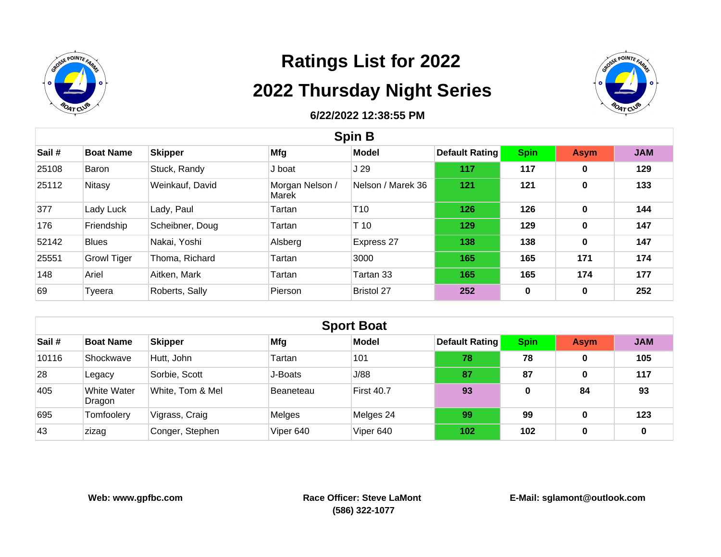



| <b>Spin B</b> |                    |                 |                          |                   |                |             |             |            |  |
|---------------|--------------------|-----------------|--------------------------|-------------------|----------------|-------------|-------------|------------|--|
| Sail#         | <b>Boat Name</b>   | <b>Skipper</b>  | Mfg                      | <b>Model</b>      | Default Rating | <b>Spin</b> | <b>Asym</b> | <b>JAM</b> |  |
| 25108         | Baron              | Stuck, Randy    | J boat                   | J 29              | 117            | 117         | 0           | 129        |  |
| 25112         | Nitasy             | Weinkauf, David | Morgan Nelson /<br>Marek | Nelson / Marek 36 | 121            | 121         | $\mathbf 0$ | 133        |  |
| 377           | Lady Luck          | Lady, Paul      | Tartan                   | T10               | 126            | 126         | $\bf{0}$    | 144        |  |
| 176           | Friendship         | Scheibner, Doug | Tartan                   | T <sub>10</sub>   | 129            | 129         | $\mathbf 0$ | 147        |  |
| 52142         | <b>Blues</b>       | Nakai, Yoshi    | Alsberg                  | Express 27        | 138            | 138         | $\bf{0}$    | 147        |  |
| 25551         | <b>Growl Tiger</b> | Thoma, Richard  | Tartan                   | 3000              | 165            | 165         | 171         | 174        |  |
| 148           | Ariel              | Aitken, Mark    | Tartan                   | Tartan 33         | 165            | 165         | 174         | 177        |  |
| 69            | Tyeera             | Roberts, Sally  | Pierson                  | <b>Bristol 27</b> | 252            | 0           | $\bf{0}$    | 252        |  |

|       | <b>Sport Boat</b>     |                  |            |                   |                       |             |             |            |  |  |
|-------|-----------------------|------------------|------------|-------------------|-----------------------|-------------|-------------|------------|--|--|
| Sail# | <b>Boat Name</b>      | <b>Skipper</b>   | <b>Mfg</b> | Model             | <b>Default Rating</b> | <b>Spin</b> | <b>Asym</b> | <b>JAM</b> |  |  |
| 10116 | Shockwave             | Hutt, John       | Tartan     | 101               | 78                    | 78          | 0           | 105        |  |  |
| 28    | Legacy                | Sorbie, Scott    | J-Boats    | J/88              | 87                    | 87          | 0           | 117        |  |  |
| 405   | White Water<br>Dragon | White, Tom & Mel | Beaneteau  | <b>First 40.7</b> | 93                    | 0           | 84          | 93         |  |  |
| 695   | Tomfoolery            | Vigrass, Craig   | Melges     | Melges 24         | 99                    | 99          | 0           | 123        |  |  |
| 43    | zizag                 | Conger, Stephen  | Viper 640  | Viper 640         | 102                   | 102         | 0           | 0          |  |  |